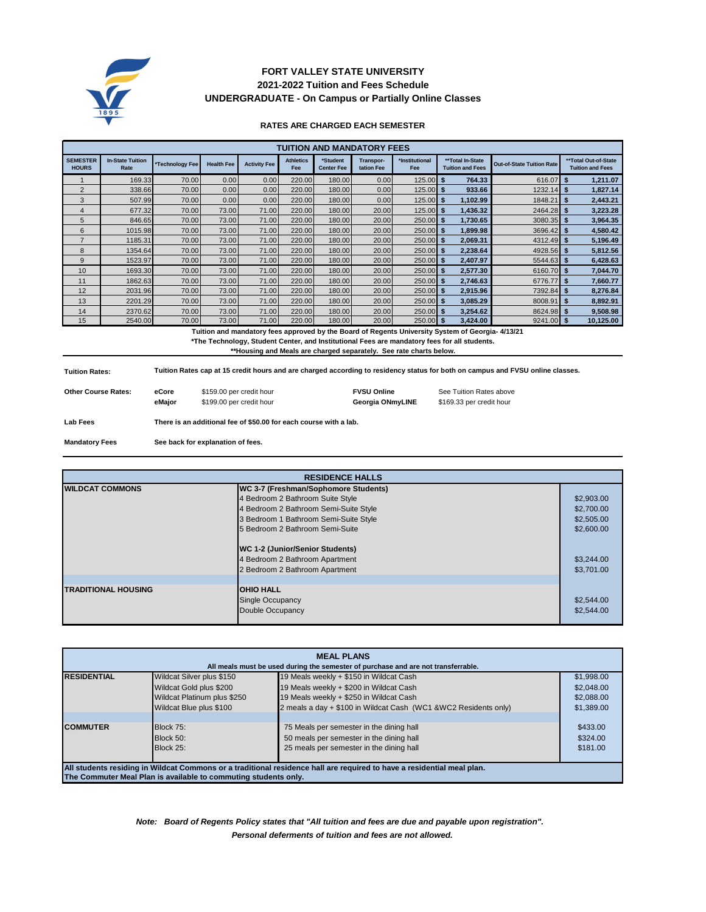

# **2021-2022 Tuition and Fees Schedule FORT VALLEY STATE UNIVERSITY UNDERGRADUATE - On Campus or Partially Online Classes**

### **RATES ARE CHARGED EACH SEMESTER**

| <b>TUITION AND MANDATORY FEES</b> |                                 |                 |                   |                     |                         |                               |                         |                       |                                             |                                  |                                                 |
|-----------------------------------|---------------------------------|-----------------|-------------------|---------------------|-------------------------|-------------------------------|-------------------------|-----------------------|---------------------------------------------|----------------------------------|-------------------------------------------------|
| <b>SEMESTER</b><br><b>HOURS</b>   | <b>In-State Tuition</b><br>Rate | *Technology Fee | <b>Health Fee</b> | <b>Activity Fee</b> | <b>Athletics</b><br>Fee | *Student<br><b>Center Fee</b> | Transpor-<br>tation Fee | *Institutional<br>Fee | **Total In-State<br><b>Tuition and Fees</b> | <b>Out-of-State Tuition Rate</b> | **Total Out-of-State<br><b>Tuition and Fees</b> |
|                                   | 169.33                          | 70.00           | 0.00              | 0.00                | 220.00                  | 180.00                        | 0.00                    | 125.00                | 764.33<br>-S                                | 616.07                           | 1,211.07                                        |
| $\overline{2}$                    | 338.66                          | 70.00           | 0.00              | 0.00                | 220.00                  | 180.00                        | 0.00                    | $125.00$ \$           | 933.66                                      | 1232.14                          | 1,827.14<br>я                                   |
| 3                                 | 507.99                          | 70.00           | 0.00              | 0.00                | 220.00                  | 180.00                        | 0.00                    | $125.00$ \$           | 1,102.99                                    | 1848.21                          | 2,443.21<br>S                                   |
| 4                                 | 677.32                          | 70.00           | 73.00             | 71.00               | 220.00                  | 180.00                        | 20.00                   | $125.00$ \$           | 1,436.32                                    | 2464.28                          | 3,223.28                                        |
| 5                                 | 846.65                          | 70.00           | 73.00             | 71.00               | 220.00                  | 180.00                        | 20.00                   | 250.00 \$             | 1.730.65                                    | 3080.35                          | 3,964.35                                        |
| 6                                 | 1015.98                         | 70.00           | 73.00             | 71.00               | 220.00                  | 180.00                        | 20.00                   | $250.00$ \$           | 1,899.98                                    | 3696.42                          | 4,580.42<br>я                                   |
| $\overline{7}$                    | 1185.31                         | 70.00           | 73.00             | 71.00               | 220.00                  | 180.00                        | 20.00                   | 250.00                | 2,069.31<br>- \$                            | 4312.49                          | 5,196.49<br>я                                   |
| 8                                 | 1354.64                         | 70.00           | 73.00             | 71.00               | 220.00                  | 180.00                        | 20.00                   | 250.00                | 2,238.64<br>- \$                            | 4928.56                          | 5,812.56<br>S                                   |
| 9                                 | 1523.97                         | 70.00           | 73.00             | 71.00               | 220.00                  | 180.00                        | 20.00                   | $250.00$ \$           | 2.407.97                                    | 5544.63                          | 6,428.63<br>S                                   |
| 10                                | 1693.30                         | 70.00           | 73.00             | 71.00               | 220.00                  | 180.00                        | 20.00                   | 250.00                | 2,577.30<br>- 5                             | 6160.70                          | 7,044.70                                        |
| 11                                | 1862.63                         | 70.00           | 73.00             | 71.00               | 220.00                  | 180.00                        | 20.00                   | 250.00                | 2,746.63<br>- \$                            | 6776.77                          | 7,660.77                                        |
| 12                                | 2031.96                         | 70.00           | 73.00             | 71.00               | 220.00                  | 180.00                        | 20.00                   | 250.00                | 2,915.96<br>- \$                            | 7392.84                          | 8,276.84<br>s                                   |
| 13                                | 2201.29                         | 70.00           | 73.00             | 71.00               | 220.00                  | 180.00                        | 20.00                   | 250.00                | 3,085.29<br>- \$                            | 8008.91                          | 8,892.91<br>- \$                                |
| 14                                | 2370.62                         | 70.00           | 73.00             | 71.00               | 220.00                  | 180.00                        | 20.00                   | 250.00 \$             | 3,254.62                                    | 8624.98                          | 9,508.98<br>S                                   |
| 15                                | 2540.00                         | 70.00           | 73.00             | 71.00               | 220.00                  | 180.00                        | 20.00                   | $250.00$ \$           | 3,424.00                                    | 9241.00                          | 10,125.00<br>S.                                 |

 **Tuition and mandatory fees approved by the Board of Regents University System of Georgia- 4/13/21**

**\*The Technology, Student Center, and Institutional Fees are mandatory fees for all students.**

**\*\*Housing and Meals are charged separately. See rate charts below.**

| <b>Tuition Rates:</b>      |                                                                   | Tuition Rates cap at 15 credit hours and are charged according to residency status for both on campus and FVSU online classes. |                    |                          |  |  |  |  |
|----------------------------|-------------------------------------------------------------------|--------------------------------------------------------------------------------------------------------------------------------|--------------------|--------------------------|--|--|--|--|
| <b>Other Course Rates:</b> | eCore                                                             | \$159.00 per credit hour                                                                                                       | <b>FVSU Online</b> | See Tuition Rates above  |  |  |  |  |
|                            | eMaior                                                            | \$199.00 per credit hour                                                                                                       | Georgia ONmvLINE   | \$169.33 per credit hour |  |  |  |  |
| <b>Lab Fees</b>            | There is an additional fee of \$50.00 for each course with a lab. |                                                                                                                                |                    |                          |  |  |  |  |

**Mandatory Fees See back for explanation of fees.**

| <b>RESIDENCE HALLS</b>     |                                                                                                                                                                                                                                                                    |                                                                    |  |
|----------------------------|--------------------------------------------------------------------------------------------------------------------------------------------------------------------------------------------------------------------------------------------------------------------|--------------------------------------------------------------------|--|
| <b>WILDCAT COMMONS</b>     | WC 3-7 (Freshman/Sophomore Students)<br>4 Bedroom 2 Bathroom Suite Style<br>4 Bedroom 2 Bathroom Semi-Suite Style<br>3 Bedroom 1 Bathroom Semi-Suite Style<br>5 Bedroom 2 Bathroom Semi-Suite<br>WC 1-2 (Junior/Senior Students)<br>4 Bedroom 2 Bathroom Apartment | \$2,903.00<br>\$2,700.00<br>\$2,505.00<br>\$2,600.00<br>\$3,244.00 |  |
|                            | 2 Bedroom 2 Bathroom Apartment                                                                                                                                                                                                                                     | \$3,701.00                                                         |  |
| <b>TRADITIONAL HOUSING</b> | <b>OHIO HALL</b><br><b>Single Occupancy</b><br>Double Occupancy                                                                                                                                                                                                    | \$2,544.00<br>\$2,544.00                                           |  |

| <b>MEAL PLANS</b>                                                                                                      |                             |                                                                 |            |  |  |
|------------------------------------------------------------------------------------------------------------------------|-----------------------------|-----------------------------------------------------------------|------------|--|--|
| All meals must be used during the semester of purchase and are not transferrable.                                      |                             |                                                                 |            |  |  |
| <b>RESIDENTIAL</b>                                                                                                     | Wildcat Silver plus \$150   | 19 Meals weekly + \$150 in Wildcat Cash                         | \$1,998.00 |  |  |
|                                                                                                                        | Wildcat Gold plus \$200     | 19 Meals weekly + \$200 in Wildcat Cash                         | \$2,048,00 |  |  |
|                                                                                                                        | Wildcat Platinum plus \$250 | 19 Meals weekly + \$250 in Wildcat Cash                         | \$2,088,00 |  |  |
|                                                                                                                        | Wildcat Blue plus \$100     | 2 meals a day + \$100 in Wildcat Cash (WC1 &WC2 Residents only) | \$1,389.00 |  |  |
|                                                                                                                        |                             |                                                                 |            |  |  |
| <b>COMMUTER</b>                                                                                                        | Block 75:                   | 75 Meals per semester in the dining hall                        | \$433.00   |  |  |
|                                                                                                                        | Block 50:                   | 50 meals per semester in the dining hall                        | \$324.00   |  |  |
|                                                                                                                        | Block 25:                   | 25 meals per semester in the dining hall                        | \$181.00   |  |  |
|                                                                                                                        |                             |                                                                 |            |  |  |
| All students residing in Wildcat Commons or a traditional residence hall are required to have a residential meal plan. |                             |                                                                 |            |  |  |
| The Commuter Meal Plan is available to commuting students only.                                                        |                             |                                                                 |            |  |  |

*Personal deferments of tuition and fees are not allowed. Note: Board of Regents Policy states that "All tuition and fees are due and payable upon registration".*